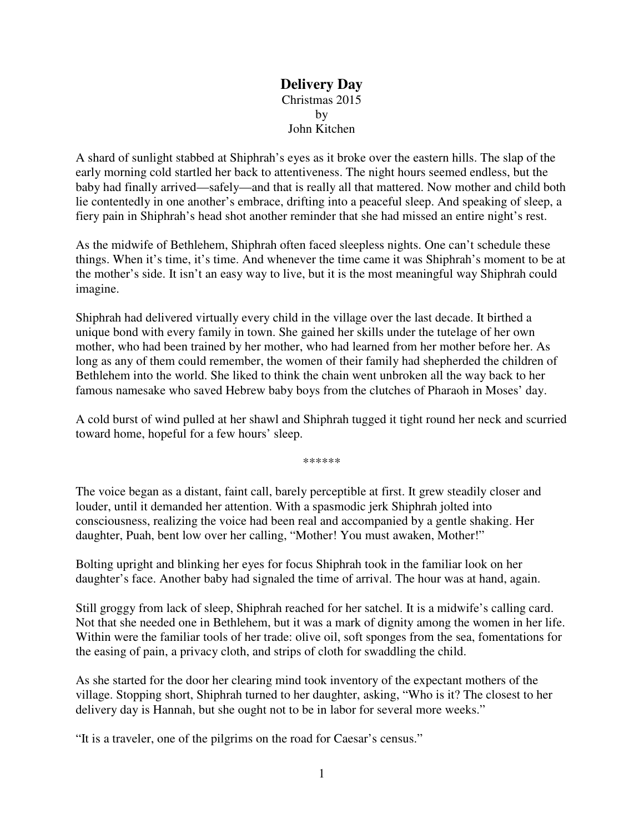## **Delivery Day**  Christmas 2015 by John Kitchen

A shard of sunlight stabbed at Shiphrah's eyes as it broke over the eastern hills. The slap of the early morning cold startled her back to attentiveness. The night hours seemed endless, but the baby had finally arrived—safely—and that is really all that mattered. Now mother and child both lie contentedly in one another's embrace, drifting into a peaceful sleep. And speaking of sleep, a fiery pain in Shiphrah's head shot another reminder that she had missed an entire night's rest.

As the midwife of Bethlehem, Shiphrah often faced sleepless nights. One can't schedule these things. When it's time, it's time. And whenever the time came it was Shiphrah's moment to be at the mother's side. It isn't an easy way to live, but it is the most meaningful way Shiphrah could imagine.

Shiphrah had delivered virtually every child in the village over the last decade. It birthed a unique bond with every family in town. She gained her skills under the tutelage of her own mother, who had been trained by her mother, who had learned from her mother before her. As long as any of them could remember, the women of their family had shepherded the children of Bethlehem into the world. She liked to think the chain went unbroken all the way back to her famous namesake who saved Hebrew baby boys from the clutches of Pharaoh in Moses' day.

A cold burst of wind pulled at her shawl and Shiphrah tugged it tight round her neck and scurried toward home, hopeful for a few hours' sleep.

\*\*\*\*\*\*

The voice began as a distant, faint call, barely perceptible at first. It grew steadily closer and louder, until it demanded her attention. With a spasmodic jerk Shiphrah jolted into consciousness, realizing the voice had been real and accompanied by a gentle shaking. Her daughter, Puah, bent low over her calling, "Mother! You must awaken, Mother!"

Bolting upright and blinking her eyes for focus Shiphrah took in the familiar look on her daughter's face. Another baby had signaled the time of arrival. The hour was at hand, again.

Still groggy from lack of sleep, Shiphrah reached for her satchel. It is a midwife's calling card. Not that she needed one in Bethlehem, but it was a mark of dignity among the women in her life. Within were the familiar tools of her trade: olive oil, soft sponges from the sea, fomentations for the easing of pain, a privacy cloth, and strips of cloth for swaddling the child.

As she started for the door her clearing mind took inventory of the expectant mothers of the village. Stopping short, Shiphrah turned to her daughter, asking, "Who is it? The closest to her delivery day is Hannah, but she ought not to be in labor for several more weeks."

"It is a traveler, one of the pilgrims on the road for Caesar's census."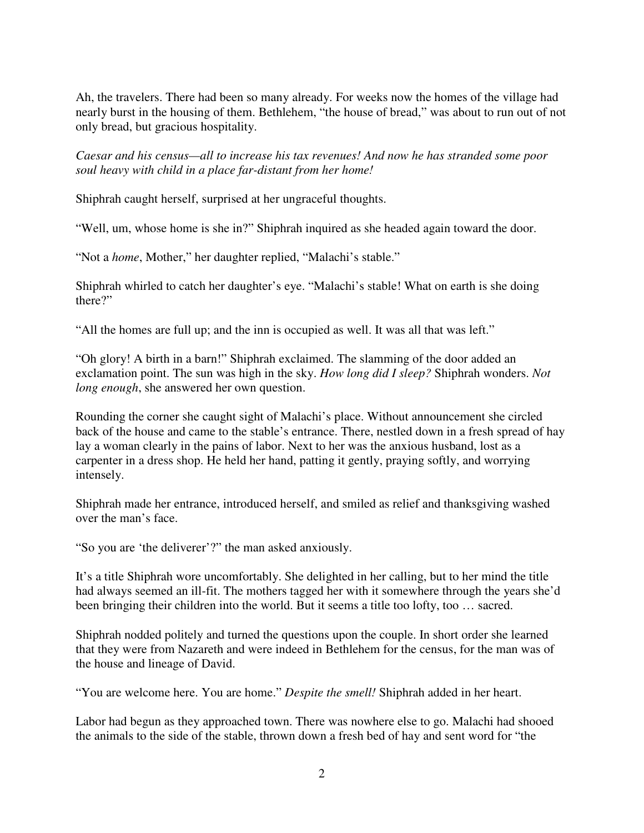Ah, the travelers. There had been so many already. For weeks now the homes of the village had nearly burst in the housing of them. Bethlehem, "the house of bread," was about to run out of not only bread, but gracious hospitality.

*Caesar and his census—all to increase his tax revenues! And now he has stranded some poor soul heavy with child in a place far-distant from her home!*

Shiphrah caught herself, surprised at her ungraceful thoughts.

"Well, um, whose home is she in?" Shiphrah inquired as she headed again toward the door.

"Not a *home*, Mother," her daughter replied, "Malachi's stable."

Shiphrah whirled to catch her daughter's eye. "Malachi's stable! What on earth is she doing there?"

"All the homes are full up; and the inn is occupied as well. It was all that was left."

"Oh glory! A birth in a barn!" Shiphrah exclaimed. The slamming of the door added an exclamation point. The sun was high in the sky. *How long did I sleep?* Shiphrah wonders. *Not long enough*, she answered her own question.

Rounding the corner she caught sight of Malachi's place. Without announcement she circled back of the house and came to the stable's entrance. There, nestled down in a fresh spread of hay lay a woman clearly in the pains of labor. Next to her was the anxious husband, lost as a carpenter in a dress shop. He held her hand, patting it gently, praying softly, and worrying intensely.

Shiphrah made her entrance, introduced herself, and smiled as relief and thanksgiving washed over the man's face.

"So you are 'the deliverer'?" the man asked anxiously.

It's a title Shiphrah wore uncomfortably. She delighted in her calling, but to her mind the title had always seemed an ill-fit. The mothers tagged her with it somewhere through the years she'd been bringing their children into the world. But it seems a title too lofty, too … sacred.

Shiphrah nodded politely and turned the questions upon the couple. In short order she learned that they were from Nazareth and were indeed in Bethlehem for the census, for the man was of the house and lineage of David.

"You are welcome here. You are home." *Despite the smell!* Shiphrah added in her heart.

Labor had begun as they approached town. There was nowhere else to go. Malachi had shooed the animals to the side of the stable, thrown down a fresh bed of hay and sent word for "the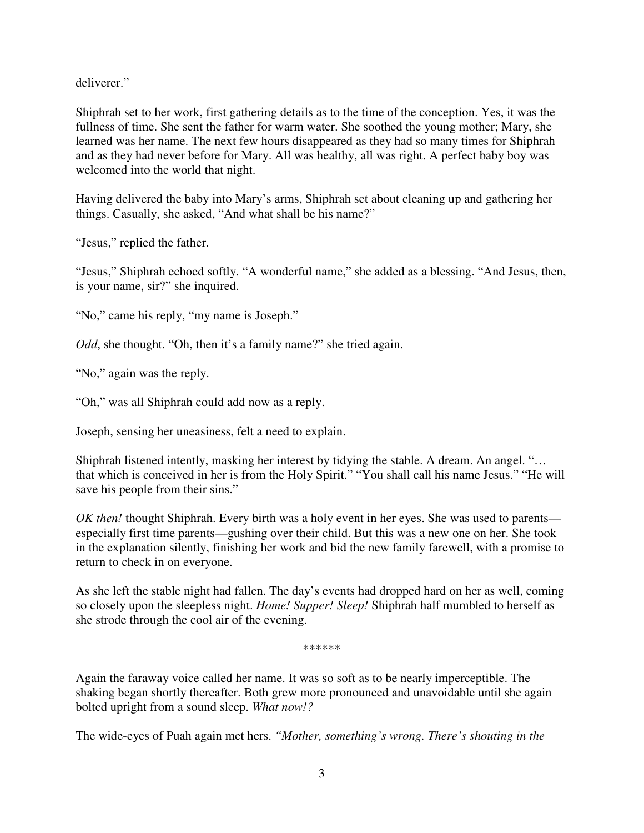deliverer."

Shiphrah set to her work, first gathering details as to the time of the conception. Yes, it was the fullness of time. She sent the father for warm water. She soothed the young mother; Mary, she learned was her name. The next few hours disappeared as they had so many times for Shiphrah and as they had never before for Mary. All was healthy, all was right. A perfect baby boy was welcomed into the world that night.

Having delivered the baby into Mary's arms, Shiphrah set about cleaning up and gathering her things. Casually, she asked, "And what shall be his name?"

"Jesus," replied the father.

"Jesus," Shiphrah echoed softly. "A wonderful name," she added as a blessing. "And Jesus, then, is your name, sir?" she inquired.

"No," came his reply, "my name is Joseph."

*Odd*, she thought. "Oh, then it's a family name?" she tried again.

"No," again was the reply.

"Oh," was all Shiphrah could add now as a reply.

Joseph, sensing her uneasiness, felt a need to explain.

Shiphrah listened intently, masking her interest by tidying the stable. A dream. An angel. "… that which is conceived in her is from the Holy Spirit." "You shall call his name Jesus." "He will save his people from their sins."

*OK then!* thought Shiphrah. Every birth was a holy event in her eyes. She was used to parents especially first time parents—gushing over their child. But this was a new one on her. She took in the explanation silently, finishing her work and bid the new family farewell, with a promise to return to check in on everyone.

As she left the stable night had fallen. The day's events had dropped hard on her as well, coming so closely upon the sleepless night. *Home! Supper! Sleep!* Shiphrah half mumbled to herself as she strode through the cool air of the evening.

\*\*\*\*\*\*

Again the faraway voice called her name. It was so soft as to be nearly imperceptible. The shaking began shortly thereafter. Both grew more pronounced and unavoidable until she again bolted upright from a sound sleep. *What now!?* 

The wide-eyes of Puah again met hers. *"Mother, something's wrong. There's shouting in the*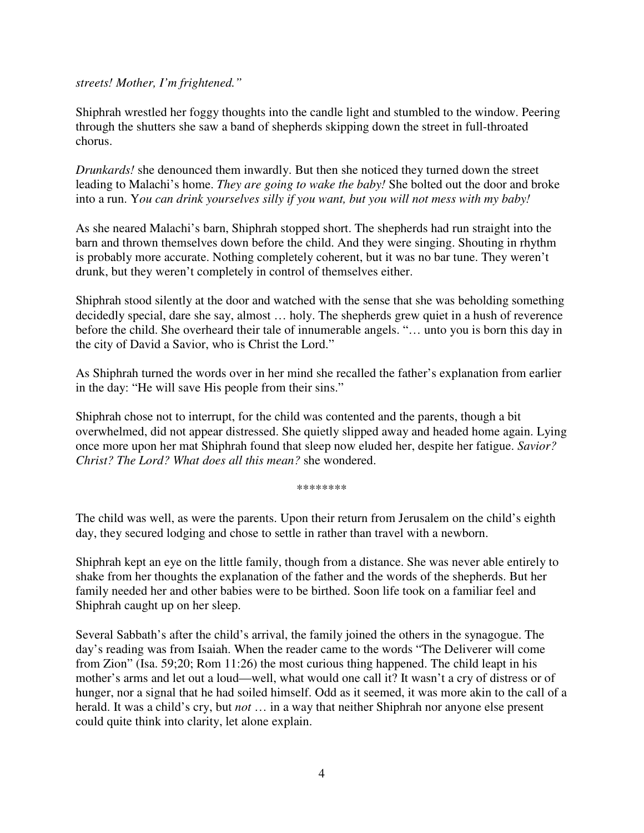*streets! Mother, I'm frightened."* 

Shiphrah wrestled her foggy thoughts into the candle light and stumbled to the window. Peering through the shutters she saw a band of shepherds skipping down the street in full-throated chorus.

*Drunkards!* she denounced them inwardly. But then she noticed they turned down the street leading to Malachi's home. *They are going to wake the baby!* She bolted out the door and broke into a run. Y*ou can drink yourselves silly if you want, but you will not mess with my baby!*

As she neared Malachi's barn, Shiphrah stopped short. The shepherds had run straight into the barn and thrown themselves down before the child. And they were singing. Shouting in rhythm is probably more accurate. Nothing completely coherent, but it was no bar tune. They weren't drunk, but they weren't completely in control of themselves either.

Shiphrah stood silently at the door and watched with the sense that she was beholding something decidedly special, dare she say, almost … holy. The shepherds grew quiet in a hush of reverence before the child. She overheard their tale of innumerable angels. "… unto you is born this day in the city of David a Savior, who is Christ the Lord."

As Shiphrah turned the words over in her mind she recalled the father's explanation from earlier in the day: "He will save His people from their sins."

Shiphrah chose not to interrupt, for the child was contented and the parents, though a bit overwhelmed, did not appear distressed. She quietly slipped away and headed home again. Lying once more upon her mat Shiphrah found that sleep now eluded her, despite her fatigue. *Savior? Christ? The Lord? What does all this mean?* she wondered.

\*\*\*\*\*\*\*\*

The child was well, as were the parents. Upon their return from Jerusalem on the child's eighth day, they secured lodging and chose to settle in rather than travel with a newborn.

Shiphrah kept an eye on the little family, though from a distance. She was never able entirely to shake from her thoughts the explanation of the father and the words of the shepherds. But her family needed her and other babies were to be birthed. Soon life took on a familiar feel and Shiphrah caught up on her sleep.

Several Sabbath's after the child's arrival, the family joined the others in the synagogue. The day's reading was from Isaiah. When the reader came to the words "The Deliverer will come from Zion" (Isa. 59;20; Rom 11:26) the most curious thing happened. The child leapt in his mother's arms and let out a loud—well, what would one call it? It wasn't a cry of distress or of hunger, nor a signal that he had soiled himself. Odd as it seemed, it was more akin to the call of a herald. It was a child's cry, but *not* … in a way that neither Shiphrah nor anyone else present could quite think into clarity, let alone explain.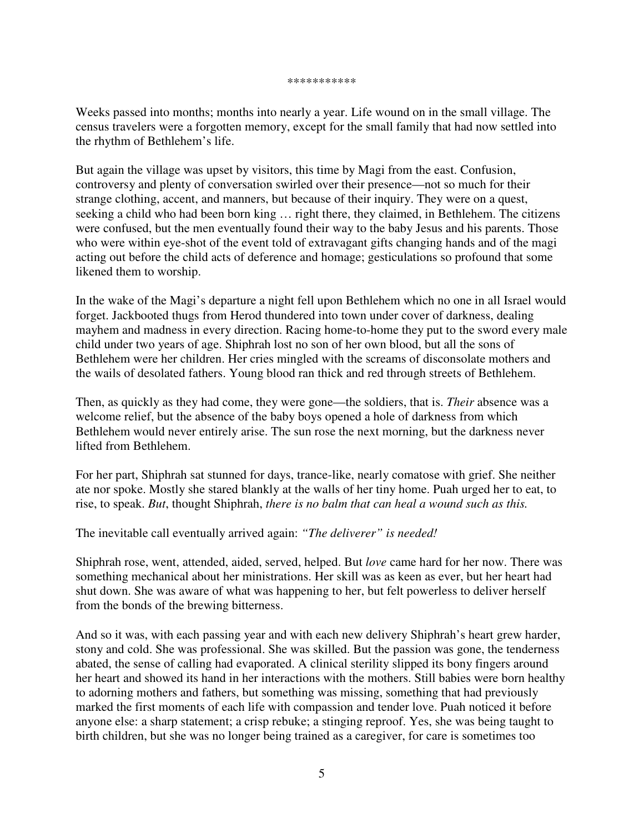## \*\*\*\*\*\*\*\*\*\*\*

Weeks passed into months; months into nearly a year. Life wound on in the small village. The census travelers were a forgotten memory, except for the small family that had now settled into the rhythm of Bethlehem's life.

But again the village was upset by visitors, this time by Magi from the east. Confusion, controversy and plenty of conversation swirled over their presence—not so much for their strange clothing, accent, and manners, but because of their inquiry. They were on a quest, seeking a child who had been born king … right there, they claimed, in Bethlehem. The citizens were confused, but the men eventually found their way to the baby Jesus and his parents. Those who were within eye-shot of the event told of extravagant gifts changing hands and of the magi acting out before the child acts of deference and homage; gesticulations so profound that some likened them to worship.

In the wake of the Magi's departure a night fell upon Bethlehem which no one in all Israel would forget. Jackbooted thugs from Herod thundered into town under cover of darkness, dealing mayhem and madness in every direction. Racing home-to-home they put to the sword every male child under two years of age. Shiphrah lost no son of her own blood, but all the sons of Bethlehem were her children. Her cries mingled with the screams of disconsolate mothers and the wails of desolated fathers. Young blood ran thick and red through streets of Bethlehem.

Then, as quickly as they had come, they were gone—the soldiers, that is. *Their* absence was a welcome relief, but the absence of the baby boys opened a hole of darkness from which Bethlehem would never entirely arise. The sun rose the next morning, but the darkness never lifted from Bethlehem.

For her part, Shiphrah sat stunned for days, trance-like, nearly comatose with grief. She neither ate nor spoke. Mostly she stared blankly at the walls of her tiny home. Puah urged her to eat, to rise, to speak. *But*, thought Shiphrah, *there is no balm that can heal a wound such as this.*

The inevitable call eventually arrived again: *"The deliverer" is needed!*

Shiphrah rose, went, attended, aided, served, helped. But *love* came hard for her now. There was something mechanical about her ministrations. Her skill was as keen as ever, but her heart had shut down. She was aware of what was happening to her, but felt powerless to deliver herself from the bonds of the brewing bitterness.

And so it was, with each passing year and with each new delivery Shiphrah's heart grew harder, stony and cold. She was professional. She was skilled. But the passion was gone, the tenderness abated, the sense of calling had evaporated. A clinical sterility slipped its bony fingers around her heart and showed its hand in her interactions with the mothers. Still babies were born healthy to adorning mothers and fathers, but something was missing, something that had previously marked the first moments of each life with compassion and tender love. Puah noticed it before anyone else: a sharp statement; a crisp rebuke; a stinging reproof. Yes, she was being taught to birth children, but she was no longer being trained as a caregiver, for care is sometimes too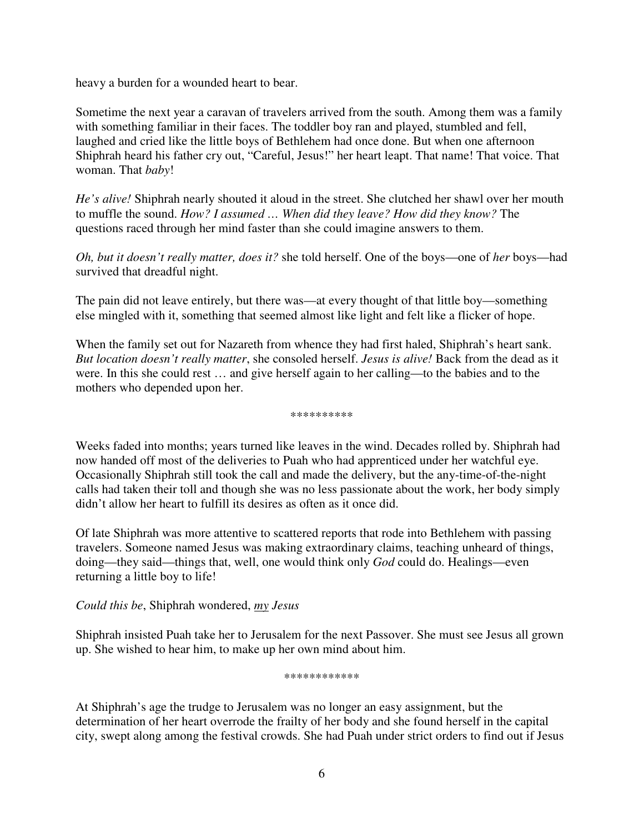heavy a burden for a wounded heart to bear.

Sometime the next year a caravan of travelers arrived from the south. Among them was a family with something familiar in their faces. The toddler boy ran and played, stumbled and fell, laughed and cried like the little boys of Bethlehem had once done. But when one afternoon Shiphrah heard his father cry out, "Careful, Jesus!" her heart leapt. That name! That voice. That woman. That *baby*!

*He's alive!* Shiphrah nearly shouted it aloud in the street. She clutched her shawl over her mouth to muffle the sound. *How? I assumed … When did they leave? How did they know?* The questions raced through her mind faster than she could imagine answers to them.

*Oh, but it doesn't really matter, does it?* she told herself. One of the boys—one of *her* boys—had survived that dreadful night.

The pain did not leave entirely, but there was—at every thought of that little boy—something else mingled with it, something that seemed almost like light and felt like a flicker of hope.

When the family set out for Nazareth from whence they had first haled, Shiphrah's heart sank. *But location doesn't really matter*, she consoled herself. *Jesus is alive!* Back from the dead as it were. In this she could rest … and give herself again to her calling—to the babies and to the mothers who depended upon her.

\*\*\*\*\*\*\*\*\*\*

Weeks faded into months; years turned like leaves in the wind. Decades rolled by. Shiphrah had now handed off most of the deliveries to Puah who had apprenticed under her watchful eye. Occasionally Shiphrah still took the call and made the delivery, but the any-time-of-the-night calls had taken their toll and though she was no less passionate about the work, her body simply didn't allow her heart to fulfill its desires as often as it once did.

Of late Shiphrah was more attentive to scattered reports that rode into Bethlehem with passing travelers. Someone named Jesus was making extraordinary claims, teaching unheard of things, doing—they said—things that, well, one would think only *God* could do. Healings—even returning a little boy to life!

*Could this be*, Shiphrah wondered, *my Jesus*

Shiphrah insisted Puah take her to Jerusalem for the next Passover. She must see Jesus all grown up. She wished to hear him, to make up her own mind about him.

\*\*\*\*\*\*\*\*\*\*\*\*

At Shiphrah's age the trudge to Jerusalem was no longer an easy assignment, but the determination of her heart overrode the frailty of her body and she found herself in the capital city, swept along among the festival crowds. She had Puah under strict orders to find out if Jesus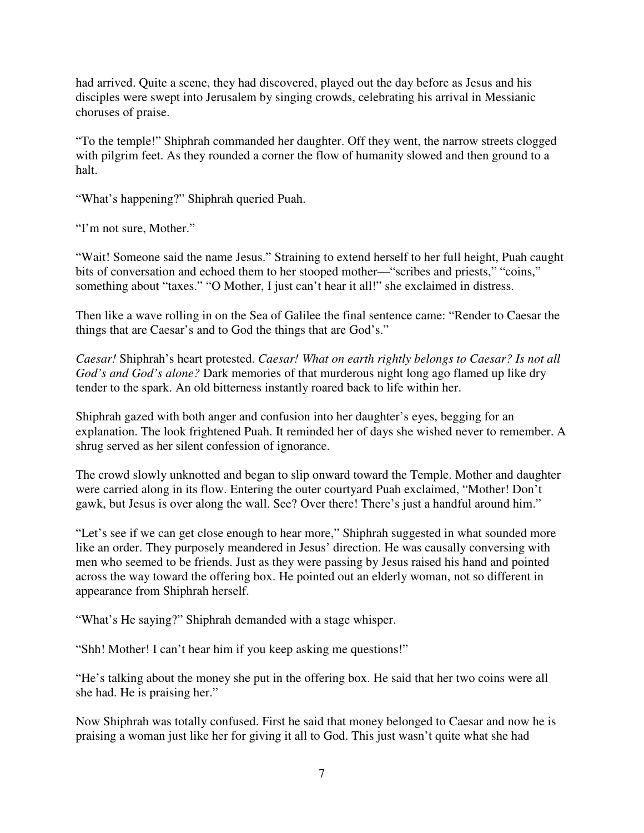had arrived. Quite a scene, they had discovered, played out the day before as Jesus and his disciples were swept into Jerusalem by singing crowds, celebrating his arrival in Messianic choruses of praise.

"To the temple!" Shiphrah commanded her daughter. Off they went, the narrow streets clogged with pilgrim feet. As they rounded a corner the flow of humanity slowed and then ground to a halt.

"What's happening?" Shiphrah queried Puah.

"I'm not sure, Mother."

"Wait! Someone said the name Jesus." Straining to extend herself to her full height, Puah caught bits of conversation and echoed them to her stooped mother—"scribes and priests," "coins," something about "taxes." "O Mother, I just can't hear it all!" she exclaimed in distress.

Then like a wave rolling in on the Sea of Galilee the final sentence came: "Render to Caesar the things that are Caesar's and to God the things that are God's."

*Caesar!* Shiphrah's heart protested. *Caesar! What on earth rightly belongs to Caesar? Is not all God's and God's alone?* Dark memories of that murderous night long ago flamed up like dry tender to the spark. An old bitterness instantly roared back to life within her.

Shiphrah gazed with both anger and confusion into her daughter's eyes, begging for an explanation. The look frightened Puah. It reminded her of days she wished never to remember. A shrug served as her silent confession of ignorance.

The crowd slowly unknotted and began to slip onward toward the Temple. Mother and daughter were carried along in its flow. Entering the outer courtyard Puah exclaimed, "Mother! Don't gawk, but Jesus is over along the wall. See? Over there! There's just a handful around him."

"Let's see if we can get close enough to hear more," Shiphrah suggested in what sounded more like an order. They purposely meandered in Jesus' direction. He was causally conversing with men who seemed to be friends. Just as they were passing by Jesus raised his hand and pointed across the way toward the offering box. He pointed out an elderly woman, not so different in appearance from Shiphrah herself.

"What's He saying?" Shiphrah demanded with a stage whisper.

"Shh! Mother! I can't hear him if you keep asking me questions!"

"He's talking about the money she put in the offering box. He said that her two coins were all she had. He is praising her."

Now Shiphrah was totally confused. First he said that money belonged to Caesar and now he is praising a woman just like her for giving it all to God. This just wasn't quite what she had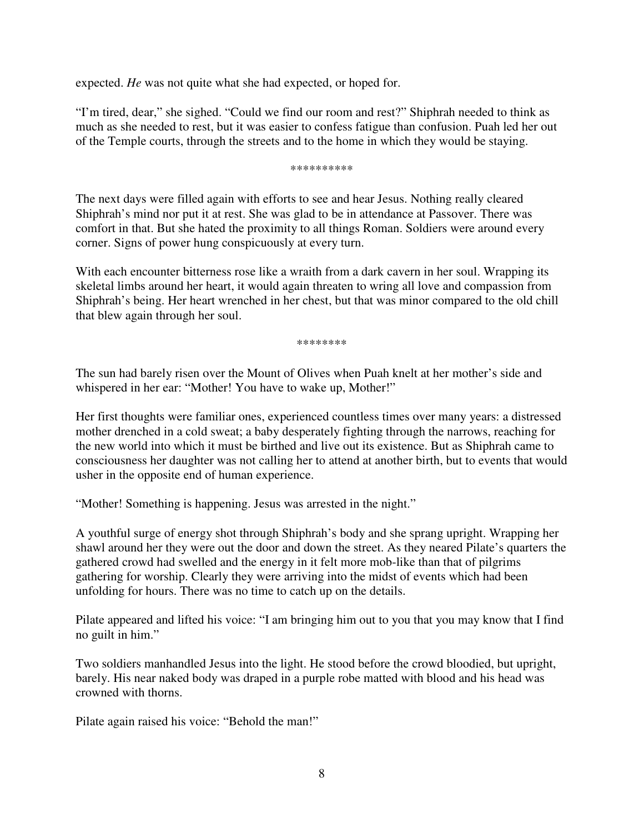expected. *He* was not quite what she had expected, or hoped for.

"I'm tired, dear," she sighed. "Could we find our room and rest?" Shiphrah needed to think as much as she needed to rest, but it was easier to confess fatigue than confusion. Puah led her out of the Temple courts, through the streets and to the home in which they would be staying.

\*\*\*\*\*\*\*\*\*\*

The next days were filled again with efforts to see and hear Jesus. Nothing really cleared Shiphrah's mind nor put it at rest. She was glad to be in attendance at Passover. There was comfort in that. But she hated the proximity to all things Roman. Soldiers were around every corner. Signs of power hung conspicuously at every turn.

With each encounter bitterness rose like a wraith from a dark cavern in her soul. Wrapping its skeletal limbs around her heart, it would again threaten to wring all love and compassion from Shiphrah's being. Her heart wrenched in her chest, but that was minor compared to the old chill that blew again through her soul.

\*\*\*\*\*\*\*\*

The sun had barely risen over the Mount of Olives when Puah knelt at her mother's side and whispered in her ear: "Mother! You have to wake up, Mother!"

Her first thoughts were familiar ones, experienced countless times over many years: a distressed mother drenched in a cold sweat; a baby desperately fighting through the narrows, reaching for the new world into which it must be birthed and live out its existence. But as Shiphrah came to consciousness her daughter was not calling her to attend at another birth, but to events that would usher in the opposite end of human experience.

"Mother! Something is happening. Jesus was arrested in the night."

A youthful surge of energy shot through Shiphrah's body and she sprang upright. Wrapping her shawl around her they were out the door and down the street. As they neared Pilate's quarters the gathered crowd had swelled and the energy in it felt more mob-like than that of pilgrims gathering for worship. Clearly they were arriving into the midst of events which had been unfolding for hours. There was no time to catch up on the details.

Pilate appeared and lifted his voice: "I am bringing him out to you that you may know that I find no guilt in him."

Two soldiers manhandled Jesus into the light. He stood before the crowd bloodied, but upright, barely. His near naked body was draped in a purple robe matted with blood and his head was crowned with thorns.

Pilate again raised his voice: "Behold the man!"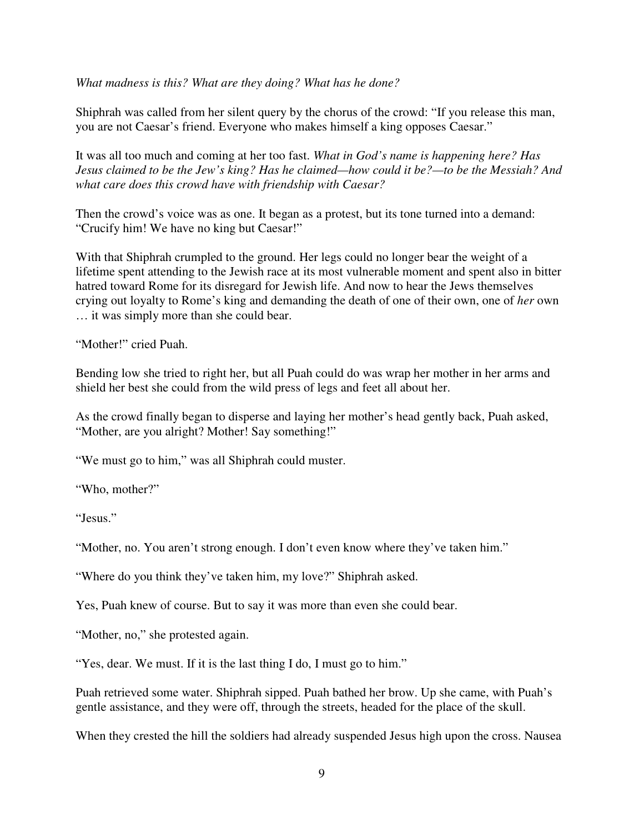*What madness is this? What are they doing? What has he done?* 

Shiphrah was called from her silent query by the chorus of the crowd: "If you release this man, you are not Caesar's friend. Everyone who makes himself a king opposes Caesar."

It was all too much and coming at her too fast. *What in God's name is happening here? Has Jesus claimed to be the Jew's king? Has he claimed—how could it be?—to be the Messiah? And what care does this crowd have with friendship with Caesar?* 

Then the crowd's voice was as one. It began as a protest, but its tone turned into a demand: "Crucify him! We have no king but Caesar!"

With that Shiphrah crumpled to the ground. Her legs could no longer bear the weight of a lifetime spent attending to the Jewish race at its most vulnerable moment and spent also in bitter hatred toward Rome for its disregard for Jewish life. And now to hear the Jews themselves crying out loyalty to Rome's king and demanding the death of one of their own, one of *her* own … it was simply more than she could bear.

"Mother!" cried Puah.

Bending low she tried to right her, but all Puah could do was wrap her mother in her arms and shield her best she could from the wild press of legs and feet all about her.

As the crowd finally began to disperse and laying her mother's head gently back, Puah asked, "Mother, are you alright? Mother! Say something!"

"We must go to him," was all Shiphrah could muster.

"Who, mother?"

"Jesus."

"Mother, no. You aren't strong enough. I don't even know where they've taken him."

"Where do you think they've taken him, my love?" Shiphrah asked.

Yes, Puah knew of course. But to say it was more than even she could bear.

"Mother, no," she protested again.

"Yes, dear. We must. If it is the last thing I do, I must go to him."

Puah retrieved some water. Shiphrah sipped. Puah bathed her brow. Up she came, with Puah's gentle assistance, and they were off, through the streets, headed for the place of the skull.

When they crested the hill the soldiers had already suspended Jesus high upon the cross. Nausea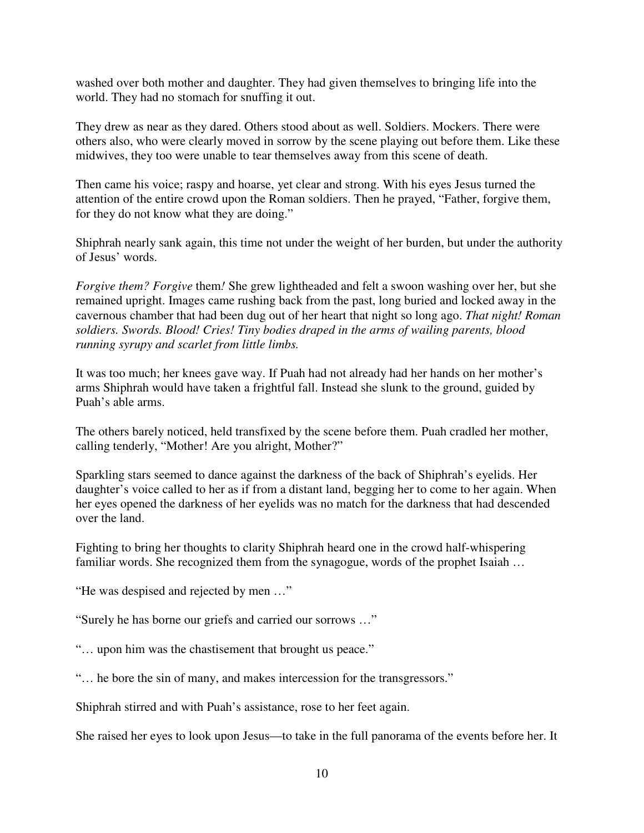washed over both mother and daughter. They had given themselves to bringing life into the world. They had no stomach for snuffing it out.

They drew as near as they dared. Others stood about as well. Soldiers. Mockers. There were others also, who were clearly moved in sorrow by the scene playing out before them. Like these midwives, they too were unable to tear themselves away from this scene of death.

Then came his voice; raspy and hoarse, yet clear and strong. With his eyes Jesus turned the attention of the entire crowd upon the Roman soldiers. Then he prayed, "Father, forgive them, for they do not know what they are doing."

Shiphrah nearly sank again, this time not under the weight of her burden, but under the authority of Jesus' words.

*Forgive them? Forgive* them*!* She grew lightheaded and felt a swoon washing over her, but she remained upright. Images came rushing back from the past, long buried and locked away in the cavernous chamber that had been dug out of her heart that night so long ago. *That night! Roman soldiers. Swords. Blood! Cries! Tiny bodies draped in the arms of wailing parents, blood running syrupy and scarlet from little limbs.*

It was too much; her knees gave way. If Puah had not already had her hands on her mother's arms Shiphrah would have taken a frightful fall. Instead she slunk to the ground, guided by Puah's able arms.

The others barely noticed, held transfixed by the scene before them. Puah cradled her mother, calling tenderly, "Mother! Are you alright, Mother?"

Sparkling stars seemed to dance against the darkness of the back of Shiphrah's eyelids. Her daughter's voice called to her as if from a distant land, begging her to come to her again. When her eyes opened the darkness of her eyelids was no match for the darkness that had descended over the land.

Fighting to bring her thoughts to clarity Shiphrah heard one in the crowd half-whispering familiar words. She recognized them from the synagogue, words of the prophet Isaiah …

"He was despised and rejected by men …"

"Surely he has borne our griefs and carried our sorrows …"

"… upon him was the chastisement that brought us peace."

"… he bore the sin of many, and makes intercession for the transgressors."

Shiphrah stirred and with Puah's assistance, rose to her feet again.

She raised her eyes to look upon Jesus—to take in the full panorama of the events before her. It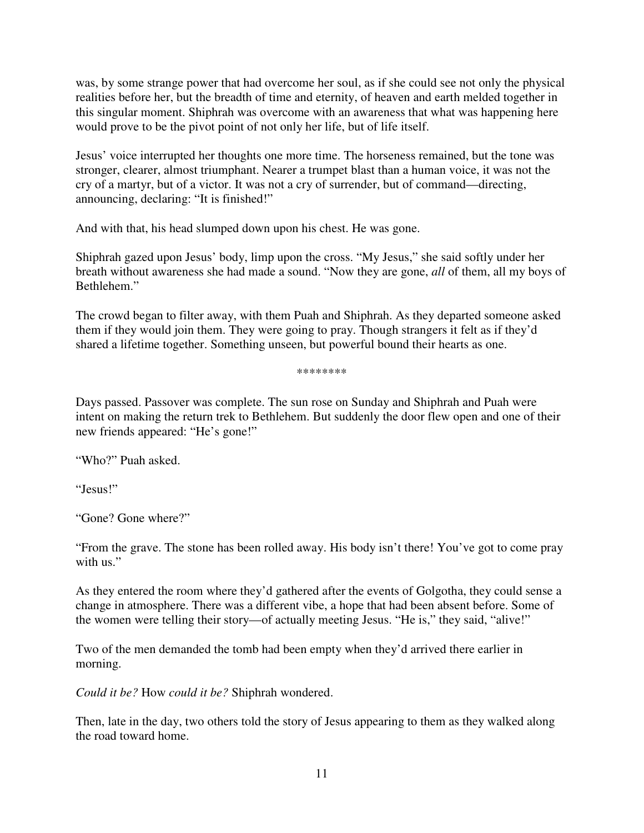was, by some strange power that had overcome her soul, as if she could see not only the physical realities before her, but the breadth of time and eternity, of heaven and earth melded together in this singular moment. Shiphrah was overcome with an awareness that what was happening here would prove to be the pivot point of not only her life, but of life itself.

Jesus' voice interrupted her thoughts one more time. The horseness remained, but the tone was stronger, clearer, almost triumphant. Nearer a trumpet blast than a human voice, it was not the cry of a martyr, but of a victor. It was not a cry of surrender, but of command—directing, announcing, declaring: "It is finished!"

And with that, his head slumped down upon his chest. He was gone.

Shiphrah gazed upon Jesus' body, limp upon the cross. "My Jesus," she said softly under her breath without awareness she had made a sound. "Now they are gone, *all* of them, all my boys of Bethlehem."

The crowd began to filter away, with them Puah and Shiphrah. As they departed someone asked them if they would join them. They were going to pray. Though strangers it felt as if they'd shared a lifetime together. Something unseen, but powerful bound their hearts as one.

\*\*\*\*\*\*\*\*

Days passed. Passover was complete. The sun rose on Sunday and Shiphrah and Puah were intent on making the return trek to Bethlehem. But suddenly the door flew open and one of their new friends appeared: "He's gone!"

"Who?" Puah asked.

"Jesus!"

"Gone? Gone where?"

"From the grave. The stone has been rolled away. His body isn't there! You've got to come pray with us."

As they entered the room where they'd gathered after the events of Golgotha, they could sense a change in atmosphere. There was a different vibe, a hope that had been absent before. Some of the women were telling their story—of actually meeting Jesus. "He is," they said, "alive!"

Two of the men demanded the tomb had been empty when they'd arrived there earlier in morning.

*Could it be?* How *could it be?* Shiphrah wondered.

Then, late in the day, two others told the story of Jesus appearing to them as they walked along the road toward home.